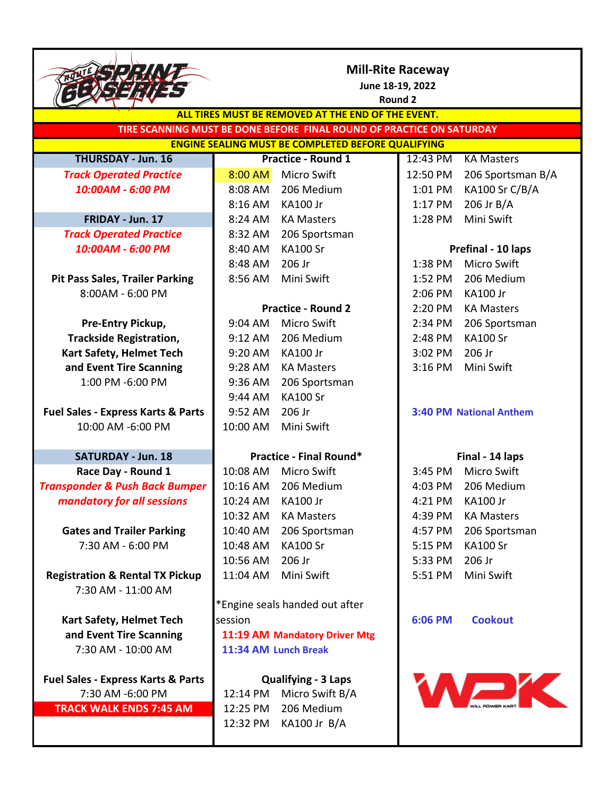|                                                                       | <b>Mill-Rite Raceway</b><br>June 18-19, 2022<br><b>Round 2</b> |                                |          |                                |  |  |
|-----------------------------------------------------------------------|----------------------------------------------------------------|--------------------------------|----------|--------------------------------|--|--|
| ALL TIRES MUST BE REMOVED AT THE END OF THE EVENT.                    |                                                                |                                |          |                                |  |  |
| TIRE SCANNING MUST BE DONE BEFORE FINAL ROUND OF PRACTICE ON SATURDAY |                                                                |                                |          |                                |  |  |
| <b>ENGINE SEALING MUST BE COMPLETED BEFORE QUALIFYING</b>             |                                                                |                                |          |                                |  |  |
| <b>THURSDAY - Jun. 16</b>                                             |                                                                | <b>Practice - Round 1</b>      | 12:43 PM | <b>KA Masters</b>              |  |  |
| <b>Track Operated Practice</b>                                        | 8:00 AM                                                        | <b>Micro Swift</b>             | 12:50 PM | 206 Sportsman B/A              |  |  |
| 10:00AM - 6:00 PM                                                     | 8:08 AM                                                        | 206 Medium                     | 1:01 PM  | KA100 Sr C/B/A                 |  |  |
|                                                                       | 8:16 AM                                                        | <b>KA100 Jr</b>                | 1:17 PM  | 206 Jr B/A                     |  |  |
| FRIDAY - Jun. 17                                                      | 8:24 AM                                                        | <b>KA Masters</b>              | 1:28 PM  | Mini Swift                     |  |  |
| <b>Track Operated Practice</b>                                        | 8:32 AM                                                        | 206 Sportsman                  |          |                                |  |  |
| 10:00AM - 6:00 PM                                                     | 8:40 AM                                                        | <b>KA100 Sr</b>                |          | Prefinal - 10 laps             |  |  |
|                                                                       | 8:48 AM                                                        | 206 Jr                         | 1:38 PM  | <b>Micro Swift</b>             |  |  |
| <b>Pit Pass Sales, Trailer Parking</b>                                | 8:56 AM                                                        | Mini Swift                     | 1:52 PM  | 206 Medium                     |  |  |
| 8:00AM - 6:00 PM                                                      |                                                                |                                | 2:06 PM  | <b>KA100 Jr</b>                |  |  |
|                                                                       |                                                                | <b>Practice - Round 2</b>      | 2:20 PM  | <b>KA Masters</b>              |  |  |
| Pre-Entry Pickup,                                                     | 9:04 AM                                                        | <b>Micro Swift</b>             | 2:34 PM  | 206 Sportsman                  |  |  |
| <b>Trackside Registration,</b>                                        | 9:12 AM                                                        | 206 Medium                     | 2:48 PM  | <b>KA100 Sr</b>                |  |  |
| Kart Safety, Helmet Tech                                              | 9:20 AM                                                        | <b>KA100 Jr</b>                | 3:02 PM  | 206 Jr                         |  |  |
| and Event Tire Scanning                                               | 9:28 AM                                                        | <b>KA Masters</b>              | 3:16 PM  | Mini Swift                     |  |  |
| 1:00 PM -6:00 PM                                                      | 9:36 AM                                                        | 206 Sportsman                  |          |                                |  |  |
|                                                                       | 9:44 AM                                                        | <b>KA100 Sr</b>                |          |                                |  |  |
| <b>Fuel Sales - Express Karts &amp; Parts</b>                         | 9:52 AM                                                        | 206 Jr                         |          | <b>3:40 PM National Anthem</b> |  |  |
| 10:00 AM -6:00 PM                                                     | 10:00 AM                                                       | Mini Swift                     |          |                                |  |  |
|                                                                       |                                                                |                                |          |                                |  |  |
| <b>SATURDAY - Jun. 18</b>                                             | <b>Practice - Final Round*</b>                                 |                                |          | Final - 14 laps                |  |  |
| Race Day - Round 1                                                    | 10:08 AM                                                       | <b>Micro Swift</b>             | 3:45 PM  | <b>Micro Swift</b>             |  |  |
| <b>Transponder &amp; Push Back Bumper</b>                             | 10:16 AM                                                       | 206 Medium                     | 4:03 PM  | 206 Medium                     |  |  |
| mandatory for all sessions                                            | 10:24 AM                                                       | KA100 Jr                       | 4:21 PM  | KA100 Jr                       |  |  |
|                                                                       | 10:32 AM                                                       | <b>KA Masters</b>              | 4:39 PM  | <b>KA Masters</b>              |  |  |
| <b>Gates and Trailer Parking</b>                                      | 10:40 AM                                                       | 206 Sportsman                  | 4:57 PM  | 206 Sportsman                  |  |  |
| 7:30 AM - 6:00 PM                                                     | 10:48 AM                                                       | <b>KA100 Sr</b>                | 5:15 PM  | <b>KA100 Sr</b>                |  |  |
|                                                                       | 10:56 AM                                                       | 206 Jr                         | 5:33 PM  | 206 Jr                         |  |  |
| <b>Registration &amp; Rental TX Pickup</b>                            | 11:04 AM                                                       | Mini Swift                     | 5:51 PM  | Mini Swift                     |  |  |
| 7:30 AM - 11:00 AM                                                    |                                                                |                                |          |                                |  |  |
|                                                                       |                                                                | *Engine seals handed out after |          |                                |  |  |
| <b>Kart Safety, Helmet Tech</b>                                       | session                                                        |                                | 6:06 PM  | <b>Cookout</b>                 |  |  |
| and Event Tire Scanning                                               |                                                                | 11:19 AM Mandatory Driver Mtg  |          |                                |  |  |
| 7:30 AM - 10:00 AM                                                    |                                                                | 11:34 AM Lunch Break           |          |                                |  |  |
|                                                                       |                                                                |                                |          |                                |  |  |
| <b>Fuel Sales - Express Karts &amp; Parts</b>                         | <b>Qualifying - 3 Laps</b>                                     |                                |          |                                |  |  |
| 7:30 AM -6:00 PM                                                      | WJK<br>Micro Swift B/A<br>12:14 PM                             |                                |          |                                |  |  |
| <b>TRACK WALK ENDS 7:45 AM</b>                                        | 12:25 PM                                                       | 206 Medium                     |          |                                |  |  |
|                                                                       | 12:32 PM                                                       | KA100 Jr B/A                   |          |                                |  |  |